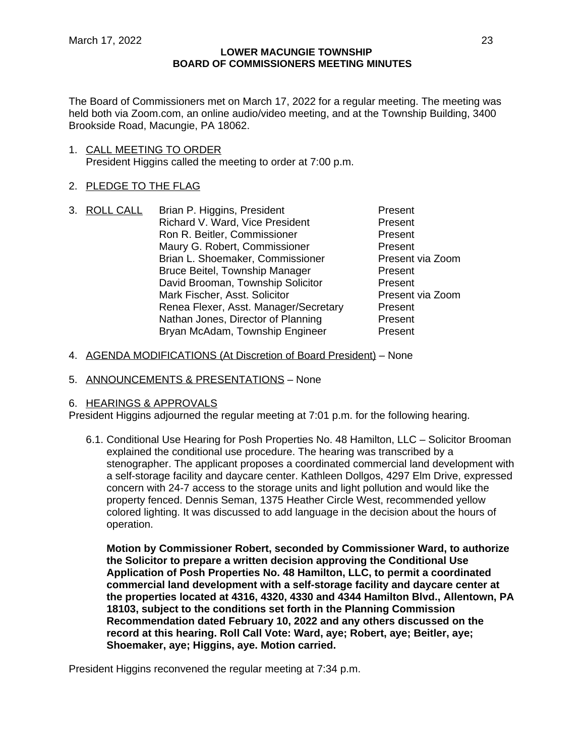The Board of Commissioners met on March 17, 2022 for a regular meeting. The meeting was held both via Zoom.com, an online audio/video meeting, and at the Township Building, 3400 Brookside Road, Macungie, PA 18062.

1. CALL MEETING TO ORDER President Higgins called the meeting to order at 7:00 p.m.

# 2. PLEDGE TO THE FLAG

- 3. ROLL CALL Brian P. Higgins, President Present Richard V. Ward, Vice President Present Ron R. Beitler, Commissioner **Present** Maury G. Robert, Commissioner **Present** Brian L. Shoemaker, Commissioner Present via Zoom Bruce Beitel, Township Manager Present David Brooman, Township Solicitor Present Mark Fischer, Asst. Solicitor **Present via Zoom** Renea Flexer, Asst. Manager/Secretary Present Nathan Jones, Director of Planning Present Bryan McAdam, Township Engineer Present
- 4. AGENDA MODIFICATIONS (At Discretion of Board President) None
- 5. ANNOUNCEMENTS & PRESENTATIONS None

# 6. HEARINGS & APPROVALS

President Higgins adjourned the regular meeting at 7:01 p.m. for the following hearing.

6.1. Conditional Use Hearing for Posh Properties No. 48 Hamilton, LLC – Solicitor Brooman explained the conditional use procedure. The hearing was transcribed by a stenographer. The applicant proposes a coordinated commercial land development with a self-storage facility and daycare center. Kathleen Dollgos, 4297 Elm Drive, expressed concern with 24-7 access to the storage units and light pollution and would like the property fenced. Dennis Seman, 1375 Heather Circle West, recommended yellow colored lighting. It was discussed to add language in the decision about the hours of operation.

**Motion by Commissioner Robert, seconded by Commissioner Ward, to authorize the Solicitor to prepare a written decision approving the Conditional Use Application of Posh Properties No. 48 Hamilton, LLC, to permit a coordinated commercial land development with a self-storage facility and daycare center at the properties located at 4316, 4320, 4330 and 4344 Hamilton Blvd., Allentown, PA 18103, subject to the conditions set forth in the Planning Commission Recommendation dated February 10, 2022 and any others discussed on the record at this hearing. Roll Call Vote: Ward, aye; Robert, aye; Beitler, aye; Shoemaker, aye; Higgins, aye. Motion carried.**

President Higgins reconvened the regular meeting at 7:34 p.m.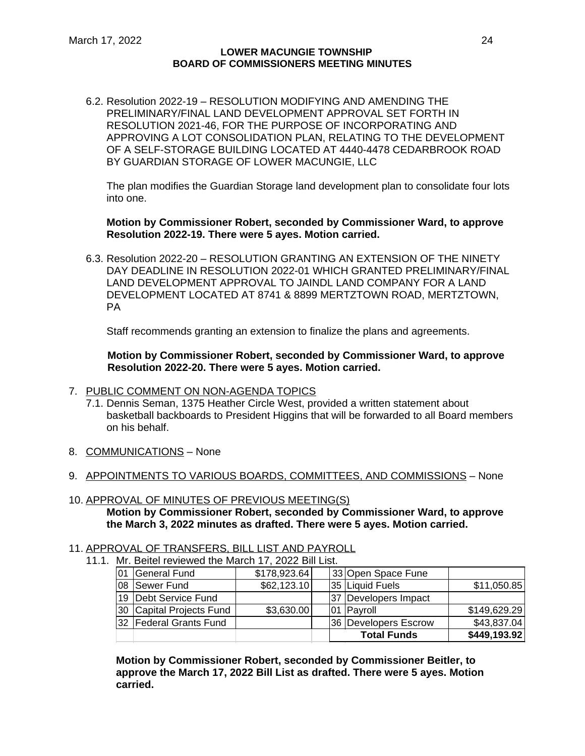6.2. Resolution 2022-19 – RESOLUTION MODIFYING AND AMENDING THE PRELIMINARY/FINAL LAND DEVELOPMENT APPROVAL SET FORTH IN RESOLUTION 2021-46, FOR THE PURPOSE OF INCORPORATING AND APPROVING A LOT CONSOLIDATION PLAN, RELATING TO THE DEVELOPMENT OF A SELF-STORAGE BUILDING LOCATED AT 4440-4478 CEDARBROOK ROAD BY GUARDIAN STORAGE OF LOWER MACUNGIE, LLC

The plan modifies the Guardian Storage land development plan to consolidate four lots into one.

**Motion by Commissioner Robert, seconded by Commissioner Ward, to approve Resolution 2022-19. There were 5 ayes. Motion carried.**

6.3. Resolution 2022-20 – RESOLUTION GRANTING AN EXTENSION OF THE NINETY DAY DEADLINE IN RESOLUTION 2022-01 WHICH GRANTED PRELIMINARY/FINAL LAND DEVELOPMENT APPROVAL TO JAINDL LAND COMPANY FOR A LAND DEVELOPMENT LOCATED AT 8741 & 8899 MERTZTOWN ROAD, MERTZTOWN, PA

Staff recommends granting an extension to finalize the plans and agreements.

**Motion by Commissioner Robert, seconded by Commissioner Ward, to approve Resolution 2022-20. There were 5 ayes. Motion carried.**

## 7. PUBLIC COMMENT ON NON-AGENDA TOPICS

- 7.1. Dennis Seman, 1375 Heather Circle West, provided a written statement about basketball backboards to President Higgins that will be forwarded to all Board members on his behalf.
- 8. COMMUNICATIONS None
- 9. APPOINTMENTS TO VARIOUS BOARDS, COMMITTEES, AND COMMISSIONS None
- 10. APPROVAL OF MINUTES OF PREVIOUS MEETING(S) **Motion by Commissioner Robert, seconded by Commissioner Ward, to approve the March 3, 2022 minutes as drafted. There were 5 ayes. Motion carried.**

## 11. APPROVAL OF TRANSFERS, BILL LIST AND PAYROLL

11.1. Mr. Beitel reviewed the March 17, 2022 Bill List.

|    |                           |              | <b>Total Funds</b>     | \$449,193.92 |
|----|---------------------------|--------------|------------------------|--------------|
|    | 132   Federal Grants Fund |              | 36   Developers Escrow | \$43,837.04  |
|    | 30 Capital Projects Fund  | \$3,630.00   | 01 Payroll             | \$149,629.29 |
|    | 19 Debt Service Fund      |              | 37 Developers Impact   |              |
|    | 08   Sewer Fund           | \$62,123.10  | 35 Liquid Fuels        | \$11,050.85  |
| 01 | General Fund              | \$178,923.64 | 33 Open Space Fune     |              |

**Motion by Commissioner Robert, seconded by Commissioner Beitler, to approve the March 17, 2022 Bill List as drafted. There were 5 ayes. Motion carried.**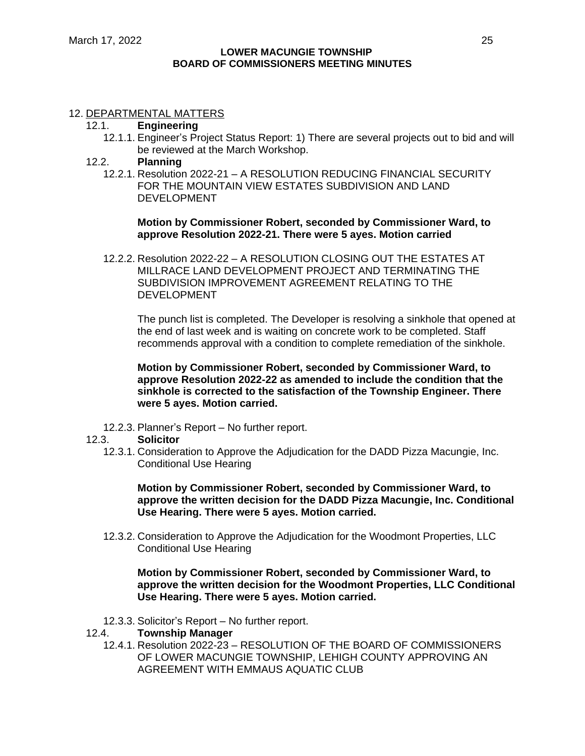# 12. DEPARTMENTAL MATTERS

- 12.1. **Engineering**
	- 12.1.1. Engineer's Project Status Report: 1) There are several projects out to bid and will be reviewed at the March Workshop.
- 12.2. **Planning**
	- 12.2.1. Resolution 2022-21 A RESOLUTION REDUCING FINANCIAL SECURITY FOR THE MOUNTAIN VIEW ESTATES SUBDIVISION AND LAND DEVELOPMENT

**Motion by Commissioner Robert, seconded by Commissioner Ward, to approve Resolution 2022-21. There were 5 ayes. Motion carried**

12.2.2. Resolution 2022-22 – A RESOLUTION CLOSING OUT THE ESTATES AT MILLRACE LAND DEVELOPMENT PROJECT AND TERMINATING THE SUBDIVISION IMPROVEMENT AGREEMENT RELATING TO THE DEVELOPMENT

The punch list is completed. The Developer is resolving a sinkhole that opened at the end of last week and is waiting on concrete work to be completed. Staff recommends approval with a condition to complete remediation of the sinkhole.

**Motion by Commissioner Robert, seconded by Commissioner Ward, to approve Resolution 2022-22 as amended to include the condition that the sinkhole is corrected to the satisfaction of the Township Engineer. There were 5 ayes. Motion carried.**

- 12.2.3. Planner's Report No further report.
- 12.3. **Solicitor**
	- 12.3.1. Consideration to Approve the Adjudication for the DADD Pizza Macungie, Inc. Conditional Use Hearing

**Motion by Commissioner Robert, seconded by Commissioner Ward, to approve the written decision for the DADD Pizza Macungie, Inc. Conditional Use Hearing. There were 5 ayes. Motion carried.**

12.3.2. Consideration to Approve the Adjudication for the Woodmont Properties, LLC Conditional Use Hearing

**Motion by Commissioner Robert, seconded by Commissioner Ward, to approve the written decision for the Woodmont Properties, LLC Conditional Use Hearing. There were 5 ayes. Motion carried.**

- 12.3.3. Solicitor's Report No further report.
- 12.4. **Township Manager**
	- 12.4.1. Resolution 2022-23 RESOLUTION OF THE BOARD OF COMMISSIONERS OF LOWER MACUNGIE TOWNSHIP, LEHIGH COUNTY APPROVING AN AGREEMENT WITH EMMAUS AQUATIC CLUB